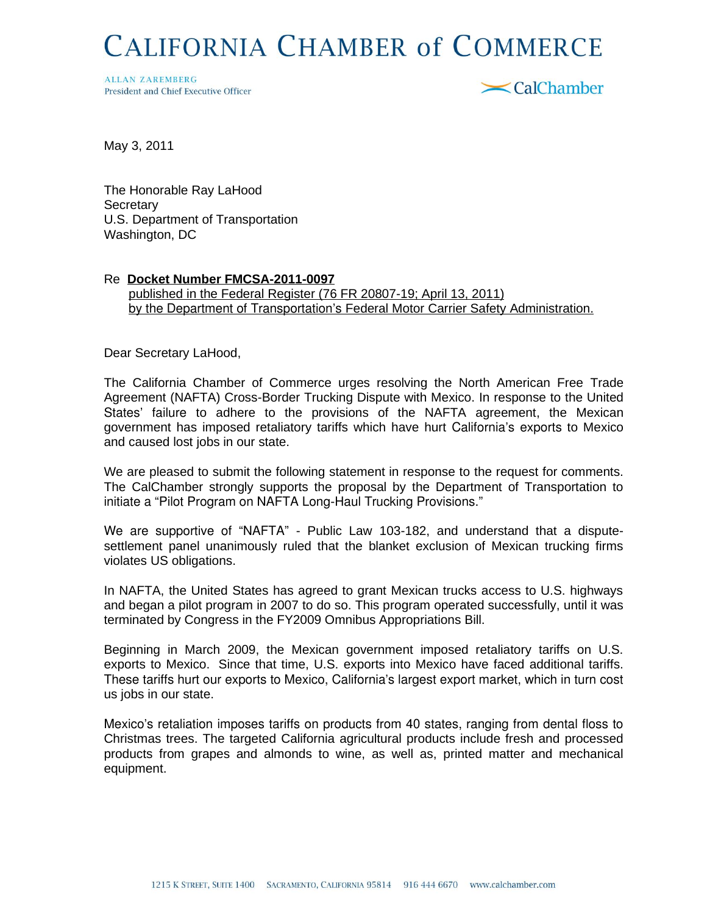## **CALIFORNIA CHAMBER of COMMERCE**

**ALLAN ZAREMBERG** President and Chief Executive Officer



May 3, 2011

The Honorable Ray LaHood **Secretary** U.S. Department of Transportation Washington, DC

## Re **Docket Number FMCSA-2011-0097**

 published in the Federal Register (76 FR 20807-19; April 13, 2011) by the Department of Transportation's Federal Motor Carrier Safety Administration.

Dear Secretary LaHood,

The California Chamber of Commerce urges resolving the North American Free Trade Agreement (NAFTA) Cross-Border Trucking Dispute with Mexico. In response to the United States' failure to adhere to the provisions of the NAFTA agreement, the Mexican government has imposed retaliatory tariffs which have hurt California's exports to Mexico and caused lost jobs in our state.

We are pleased to submit the following statement in response to the request for comments. The CalChamber strongly supports the proposal by the Department of Transportation to initiate a "Pilot Program on NAFTA Long-Haul Trucking Provisions."

We are supportive of "NAFTA" - Public Law 103-182, and understand that a disputesettlement panel unanimously ruled that the blanket exclusion of Mexican trucking firms violates US obligations.

In NAFTA, the United States has agreed to grant Mexican trucks access to U.S. highways and began a pilot program in 2007 to do so. This program operated successfully, until it was terminated by Congress in the FY2009 Omnibus Appropriations Bill.

Beginning in March 2009, the Mexican government imposed retaliatory tariffs on U.S. exports to Mexico. Since that time, U.S. exports into Mexico have faced additional tariffs. These tariffs hurt our exports to Mexico, California's largest export market, which in turn cost us jobs in our state.

Mexico's retaliation imposes tariffs on products from 40 states, ranging from dental floss to Christmas trees. The targeted California agricultural products include fresh and processed products from grapes and almonds to wine, as well as, printed matter and mechanical equipment.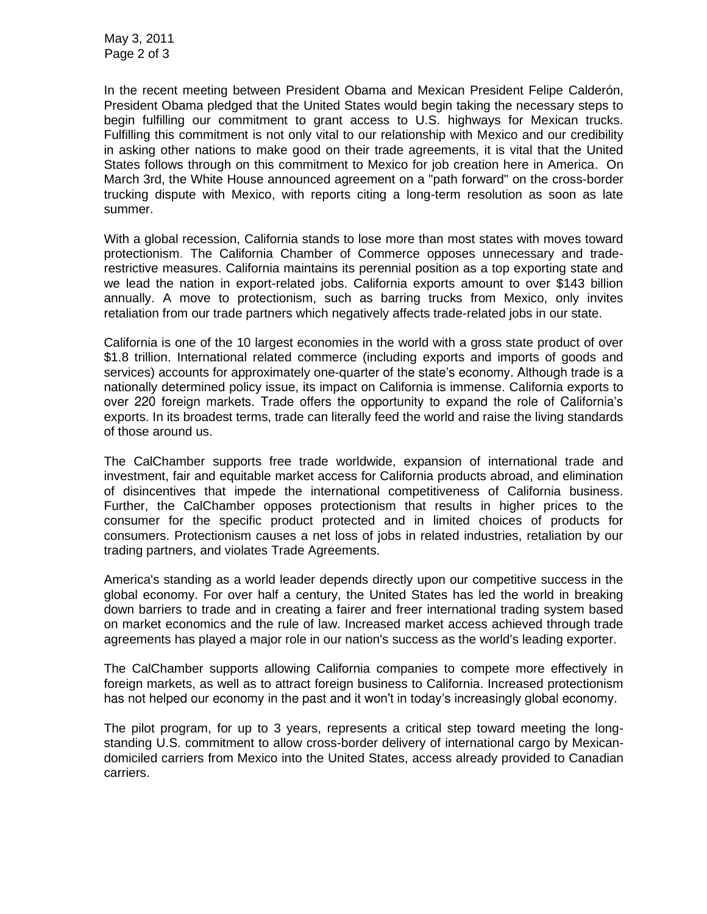In the recent meeting between President Obama and Mexican President Felipe Calderón, President Obama pledged that the United States would begin taking the necessary steps to begin fulfilling our commitment to grant access to U.S. highways for Mexican trucks. Fulfilling this commitment is not only vital to our relationship with Mexico and our credibility in asking other nations to make good on their trade agreements, it is vital that the United States follows through on this commitment to Mexico for job creation here in America. On March 3rd, the White House announced agreement on a "path forward" on the cross-border trucking dispute with Mexico, with reports citing a long-term resolution as soon as late summer.

With a global recession, California stands to lose more than most states with moves toward protectionism. The California Chamber of Commerce opposes unnecessary and traderestrictive measures. California maintains its perennial position as a top exporting state and we lead the nation in export-related jobs. California exports amount to over \$143 billion annually. A move to protectionism, such as barring trucks from Mexico, only invites retaliation from our trade partners which negatively affects trade-related jobs in our state.

California is one of the 10 largest economies in the world with a gross state product of over \$1.8 trillion. International related commerce (including exports and imports of goods and services) accounts for approximately one-quarter of the state's economy. Although trade is a nationally determined policy issue, its impact on California is immense. California exports to over 220 foreign markets. Trade offers the opportunity to expand the role of California's exports. In its broadest terms, trade can literally feed the world and raise the living standards of those around us.

The CalChamber supports free trade worldwide, expansion of international trade and investment, fair and equitable market access for California products abroad, and elimination of disincentives that impede the international competitiveness of California business. Further, the CalChamber opposes protectionism that results in higher prices to the consumer for the specific product protected and in limited choices of products for consumers. Protectionism causes a net loss of jobs in related industries, retaliation by our trading partners, and violates Trade Agreements.

America's standing as a world leader depends directly upon our competitive success in the global economy. For over half a century, the United States has led the world in breaking down barriers to trade and in creating a fairer and freer international trading system based on market economics and the rule of law. Increased market access achieved through trade agreements has played a major role in our nation's success as the world's leading exporter.

The CalChamber supports allowing California companies to compete more effectively in foreign markets, as well as to attract foreign business to California. Increased protectionism has not helped our economy in the past and it won't in today's increasingly global economy.

The pilot program, for up to 3 years, represents a critical step toward meeting the longstanding U.S. commitment to allow cross-border delivery of international cargo by Mexicandomiciled carriers from Mexico into the United States, access already provided to Canadian carriers.